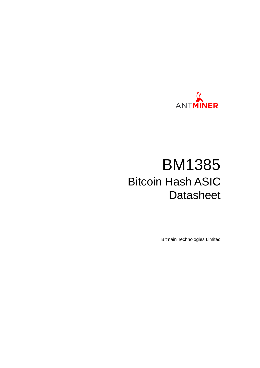

# BM1385 Bitcoin Hash ASIC **Datasheet**

Bitmain Technologies Limited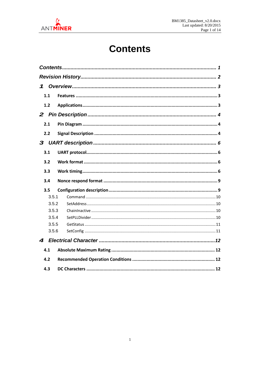<span id="page-1-0"></span>

## **Contents**

| 1     |  |
|-------|--|
| 1.1   |  |
| 1.2   |  |
|       |  |
| 2.1   |  |
| 2.2   |  |
|       |  |
| 3.1   |  |
| 3.2   |  |
| 3.3   |  |
| 3.4   |  |
| 3.5   |  |
| 3.5.1 |  |
| 3.5.2 |  |
| 3.5.3 |  |
| 3.5.4 |  |
| 3.5.5 |  |
| 3.5.6 |  |
| 4     |  |
| 4.1   |  |
| 4.2   |  |
| 4.3   |  |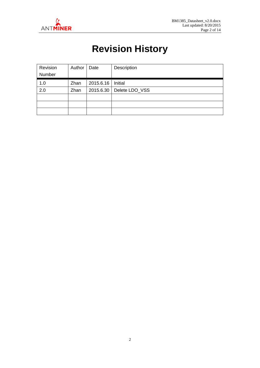<span id="page-2-0"></span>

## **Revision History**

| Revision | Author | Date      | Description    |
|----------|--------|-----------|----------------|
| Number   |        |           |                |
| 1.0      | Zhan   | 2015.6.16 | Initial        |
| 2.0      | Zhan   | 2015.6.30 | Delete LDO_VSS |
|          |        |           |                |
|          |        |           |                |
|          |        |           |                |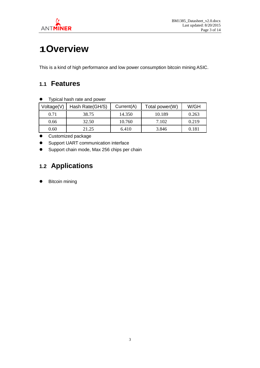

## <span id="page-3-0"></span>**1Overview**

<span id="page-3-1"></span>This is a kind of high performance and low power consumption bitcoin mining ASIC.

#### **1.1 Features**

Typical hash rate and power

| Voltage(V) | Hash Rate(GH/S) | Current(A) | Total power(W) | W/GH  |
|------------|-----------------|------------|----------------|-------|
| 0.71       | 38.75           | 14.350     | 10.189         | 0.263 |
| 0.66       | 32.50           | 10.760     | 7.102          | 0.219 |
| 0.60       | 21.25           | 6.410      | 3.846          | 0.181 |

**•** Customized package

**•** Support UART communication interface

<span id="page-3-2"></span>**•** Support chain mode, Max 256 chips per chain

### **1.2 Applications**

**•** Bitcoin mining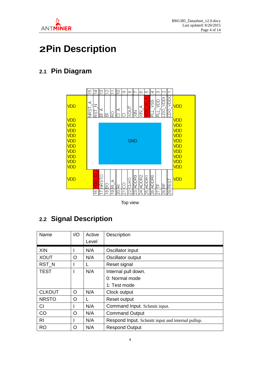

### <span id="page-4-0"></span>**2Pin Description**

### <span id="page-4-1"></span>**2.1 Pin Diagram**



Top view

### <span id="page-4-2"></span>**2.2 Signal Description**

| Name           | 1/O | Active | Description                                       |
|----------------|-----|--------|---------------------------------------------------|
|                |     | Level  |                                                   |
| XIN            |     | N/A    | Oscillator input                                  |
| <b>XOUT</b>    | O   | N/A    | Oscillator output                                 |
| RST_N          |     |        | Reset signal                                      |
| <b>TEST</b>    |     | N/A    | Internal pull down.                               |
|                |     |        | 0: Normal mode                                    |
|                |     |        | 1: Test mode                                      |
| <b>CLKOUT</b>  | O   | N/A    | Clock output                                      |
| <b>NRSTO</b>   | O   |        | Reset output                                      |
| <b>CI</b>      |     | N/A    | Command Input. Schmitt input.                     |
| CO             | O   | N/A    | <b>Command Output</b>                             |
| R <sub>l</sub> |     | N/A    | Respond Input. Schmitt input and internal pullup. |
| <b>RO</b>      | O   | N/A    | <b>Respond Output</b>                             |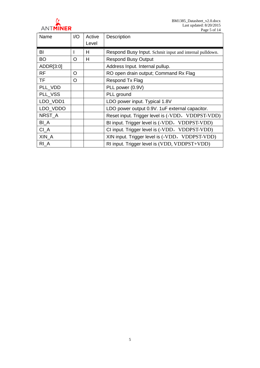

BM1385\_Datasheet\_v2.0.docx Last updated: 8/20/2015 Page 5 of 14

| Name            | 1/O | Active | Description                                             |
|-----------------|-----|--------|---------------------------------------------------------|
|                 |     | Level  |                                                         |
| BI              |     | н      | Respond Busy Input. Schmit input and internal pulldown. |
| <b>BO</b>       | O   | H      | <b>Respond Busy Output</b>                              |
| ADDR[3:0]       |     |        | Address Input. Internal pullup.                         |
| <b>RF</b>       | O   |        | RO open drain output; Command Rx Flag                   |
| <b>TF</b>       | O   |        | Respond Tx Flag                                         |
| PLL VDD         |     |        | PLL power (0.9V)                                        |
| PLL_VSS         |     |        | PLL ground                                              |
| LDO_VDD1        |     |        | LDO power input. Typical 1.8V                           |
| LDO VDDO        |     |        | LDO power output 0.9V. 1uF external capacitor.          |
| NRST_A          |     |        | Reset input. Trigger level is (-VDD, VDDPST-VDD)        |
| BI <sub>A</sub> |     |        | BI input. Trigger level is (-VDD, VDDPST-VDD)           |
| $Cl_A$          |     |        | CI input. Trigger level is (-VDD, VDDPST-VDD)           |
| XIN_A           |     |        | XIN input. Trigger level is (-VDD, VDDPST-VDD)          |
| $RI_A$          |     |        | RI input. Trigger level is (VDD, VDDPST+VDD)            |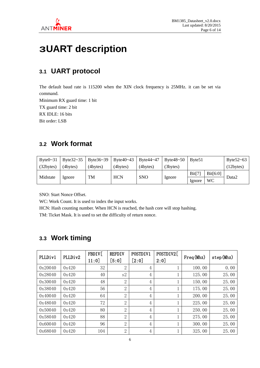

## <span id="page-6-0"></span>**3UART description**

### <span id="page-6-1"></span>**3.1 UART protocol**

The default baud rate is 115200 when the XIN clock frequency is 25MHz. it can be set via command.

Minimum RX guard time: 1 bit TX guard time: 2 bit RX IDLE: 16 bits Bit order: LSB

#### <span id="page-6-2"></span>**3.2 Work format**

| Byte $0 \sim 31$ | Byte $32 - 35$ | Byte $36 - 39$ | Byte $40 - 43$ | Byte44~47      | Byte $48 - 50$ | Byte <sub>51</sub> |          | Byte $52 - 63$ |
|------------------|----------------|----------------|----------------|----------------|----------------|--------------------|----------|----------------|
| (32bytes)        | (4bytes)       | $(4$ bytes $)$ | (4bytes)       | $(4$ bytes $)$ | (3bytes)       |                    |          | (12 bytes)     |
|                  |                |                |                |                |                | Bit[7]             | Bit[6:0] |                |
| Midstate         | Ignore         | TM             | <b>HCN</b>     | <b>SNO</b>     | Ignore         | lgnore             | WC       | Data2          |

SNO: Start Nonce Offset.

WC: Work Count. It is used to index the input works.

HCN: Hash counting number. When HCN is reached, the hash core will stop hashing.

TM: Ticket Mask. It is used to set the difficulty of return nonce.

#### <span id="page-6-3"></span>**3.3 Work timing**

| PLLDiv1 | PLLDiv2 | FBDIV[<br>11:0] | <b>REFDIV</b><br>[5:0] | POSTDIV1<br>[2:0] | POSTDIV2[<br>2:0] | Freq (Mhz) | step(Mhz) |
|---------|---------|-----------------|------------------------|-------------------|-------------------|------------|-----------|
| 0x20040 | 0x420   | 32              | $\overline{2}$         | $\overline{4}$    |                   | 100.00     | 0.00      |
| 0x28040 | 0x420   | 40              | s2                     | $\overline{4}$    |                   | 125.00     | 25.00     |
| 0x30040 | 0x420   | 48              | $\overline{2}$         | $\overline{4}$    |                   | 150.00     | 25.00     |
| 0x38040 | 0x420   | 56              | $\overline{2}$         | $\overline{4}$    |                   | 175.00     | 25.00     |
| 0x40040 | 0x420   | 64              | $\overline{2}$         | 4                 |                   | 200.00     | 25.00     |
| 0x48040 | 0x420   | 72              | $\overline{2}$         | $\overline{4}$    |                   | 225.00     | 25.00     |
| 0x50040 | 0x420   | 80              | $\overline{2}$         | 4                 |                   | 250.00     | 25.00     |
| 0x58040 | 0x420   | 88              | $\overline{2}$         | $\overline{4}$    |                   | 275.00     | 25.00     |
| 0x60040 | 0x420   | 96              | $\overline{2}$         | $\overline{4}$    |                   | 300.00     | 25.00     |
| 0x68040 | 0x420   | 104             | $\overline{2}$         | 4                 |                   | 325.00     | 25.00     |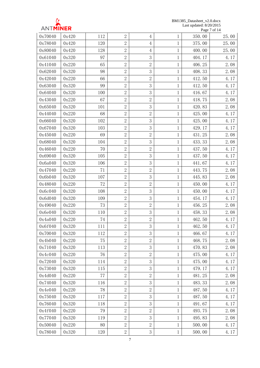

BM1385\_Datasheet\_v2.0.docx Last updated: 8/20/2015 Page 7 of 14

| 0x70040 | 0x420 | 112 | $\overline{2}$ | $\overline{4}$ | $\mathbf{1}$ | 350.00 | 25.00 |
|---------|-------|-----|----------------|----------------|--------------|--------|-------|
| 0x78040 | 0x420 | 120 | $\overline{2}$ | $\overline{4}$ | 1            | 375.00 | 25.00 |
| 0x80040 | 0x420 | 128 | $\overline{2}$ | $\overline{4}$ | $\mathbf{1}$ | 400.00 | 25.00 |
| 0x61040 | 0x320 | 97  | $\overline{2}$ | 3              | $\mathbf{1}$ | 404.17 | 4.17  |
| 0x41040 | 0x220 | 65  | $\overline{2}$ | $\overline{2}$ | $\mathbf{1}$ | 406.25 | 2.08  |
| 0x62040 | 0x320 | 98  | $\overline{2}$ | 3              | 1            | 408.33 | 2.08  |
| 0x42040 | 0x220 | 66  | $\overline{2}$ | $\overline{2}$ | $\mathbf 1$  | 412.50 | 4.17  |
| 0x63040 | 0x320 | 99  | $\overline{2}$ | 3              | $\mathbf{1}$ | 412.50 | 4.17  |
| 0x64040 | 0x320 | 100 | $\overline{2}$ | 3              | 1            | 416.67 | 4.17  |
| 0x43040 | 0x220 | 67  | $\overline{2}$ | $\overline{2}$ | 1            | 418.75 | 2.08  |
| 0x65040 | 0x320 | 101 | $\overline{2}$ | 3              | $\mathbf{1}$ | 420.83 | 2.08  |
| 0x44040 | 0x220 | 68  | $\overline{2}$ | $\overline{2}$ | 1            | 425.00 | 4.17  |
| 0x66040 | 0x320 | 102 | $\overline{2}$ | 3              | $\mathbf{1}$ | 425.00 | 4.17  |
| 0x67040 | 0x320 | 103 | $\overline{2}$ | 3              | $\mathbf{1}$ | 429.17 | 4.17  |
| 0x45040 | 0x220 | 69  | $\overline{2}$ | $\overline{2}$ | 1            | 431.25 | 2.08  |
| 0x68040 | 0x320 | 104 | $\overline{2}$ | 3              | $\mathbf{1}$ | 433.33 | 2.08  |
| 0x46040 | 0x220 | 70  | $\overline{2}$ | $\overline{2}$ | $\mathbf{1}$ | 437.50 | 4.17  |
| 0x69040 | 0x320 | 105 | $\overline{2}$ | 3              | 1            | 437.50 | 4.17  |
| 0x6a040 | 0x320 | 106 | $\overline{2}$ | 3              | $\mathbf{1}$ | 441.67 | 4.17  |
| 0x47040 | 0x220 | 71  | $\overline{2}$ | $\overline{2}$ | $\mathbf{1}$ | 443.75 | 2.08  |
| 0x6b040 | 0x320 | 107 | $\overline{2}$ | 3              | 1            | 445.83 | 2.08  |
| 0x48040 | 0x220 | 72  | $\overline{2}$ | $\overline{2}$ | $\mathbf{1}$ | 450.00 | 4.17  |
| 0x6c040 | 0x320 | 108 | $\overline{2}$ | 3              | $\mathbf{1}$ | 450.00 | 4.17  |
| 0x6d040 | 0x320 | 109 | $\overline{2}$ | 3              | $\mathbf{1}$ | 454.17 | 4.17  |
| 0x49040 | 0x220 | 73  | $\overline{2}$ | $\overline{2}$ | 1            | 456.25 | 2.08  |
| 0x6e040 | 0x320 | 110 | $\overline{2}$ | 3              | $\mathbf 1$  | 458.33 | 2.08  |
| 0x4a040 | 0x220 | 74  | $\overline{2}$ | $\overline{2}$ | $\mathbf{1}$ | 462.50 | 4.17  |
| 0x6f040 | 0x320 | 111 | $\overline{2}$ | 3              |              | 462.50 | 4.17  |
| 0x70040 | 0x320 | 112 | $\overline{2}$ | 3              | 1            | 466.67 | 4.17  |
| 0x4b040 | 0x220 | 75  | $\overline{2}$ | $\overline{2}$ | $\mathbf{1}$ | 468.75 | 2.08  |
| 0x71040 | 0x320 | 113 | $\overline{2}$ | 3              | 1            | 470.83 | 2.08  |
| 0x4c040 | 0x220 | 76  | $\overline{2}$ | $\overline{2}$ | $\mathbf{1}$ | 475.00 | 4.17  |
| 0x72040 | 0x320 | 114 | $\overline{2}$ | 3              | $\mathbf{1}$ | 475.00 | 4.17  |
| 0x73040 | 0x320 | 115 | $\overline{2}$ | 3              | 1            | 479.17 | 4.17  |
| 0x4d040 | 0x220 | 77  | $\overline{2}$ | $\overline{2}$ | $\mathbf{1}$ | 481.25 | 2.08  |
| 0x74040 | 0x320 | 116 | $\overline{2}$ | 3              | $\mathbf{1}$ | 483.33 | 2.08  |
| 0x4e040 | 0x220 | 78  | $\overline{2}$ | $\overline{2}$ | 1            | 487.50 | 4.17  |
| 0x75040 | 0x320 | 117 | $\overline{2}$ | 3              | $\mathbf{1}$ | 487.50 | 4.17  |
| 0x76040 | 0x320 | 118 | $\overline{2}$ | 3              | $\mathbf{1}$ | 491.67 | 4.17  |
| 0x4f040 | 0x220 | 79  | $\overline{2}$ | $\overline{2}$ | $\mathbf{1}$ | 493.75 | 2.08  |
| 0x77040 | 0x320 | 119 | $\overline{2}$ | 3              | 1            | 495.83 | 2.08  |
| 0x50040 | 0x220 | 80  | $\overline{2}$ | $\overline{2}$ | $\mathbf{1}$ | 500.00 | 4.17  |
| 0x78040 | 0x320 | 120 | $\overline{2}$ | $\mathfrak 3$  | $\mathbf{1}$ | 500.00 | 4.17  |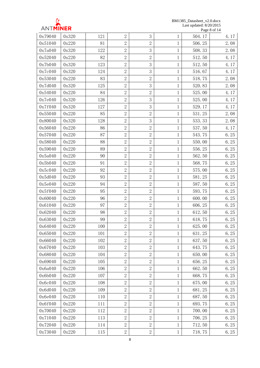

BM1385\_Datasheet\_v2.0.docx Last updated: 8/20/2015 Page 8 of 14

|         |       |     |                |                |              |        | $\cdots$ |
|---------|-------|-----|----------------|----------------|--------------|--------|----------|
| 0x79040 | 0x320 | 121 | $\overline{2}$ | 3              | 1            | 504.17 | 4.17     |
| 0x51040 | 0x220 | 81  | $\overline{2}$ | $\overline{2}$ | $\mathbf{1}$ | 506.25 | 2.08     |
| 0x7a040 | 0x320 | 122 | $\overline{2}$ | 3              | $\mathbf 1$  | 508.33 | 2.08     |
| 0x52040 | 0x220 | 82  | $\overline{2}$ | $\mathbf{2}$   | $\mathbf{1}$ | 512.50 | 4.17     |
| 0x7b040 | 0x320 | 123 | $\overline{2}$ | 3              | $\mathbf{1}$ | 512.50 | 4.17     |
| 0x7c040 | 0x320 | 124 | $\overline{2}$ | 3              | $\mathbf{1}$ | 516.67 | 4.17     |
| 0x53040 | 0x220 | 83  | $\overline{2}$ | $\mathbf{2}$   | $\mathbf{1}$ | 518.75 | 2.08     |
| 0x7d040 | 0x320 | 125 | $\overline{2}$ | 3              | $\mathbf{1}$ | 520.83 | 2.08     |
| 0x54040 | 0x220 | 84  | $\overline{2}$ | $\overline{2}$ | $\mathbf{1}$ | 525.00 | 4.17     |
| 0x7e040 | 0x320 | 126 | $\overline{2}$ | 3              | $\mathbf{1}$ | 525.00 | 4.17     |
| 0x7f040 | 0x320 | 127 | $\overline{2}$ | 3              | $\mathbf{1}$ | 529.17 | 4.17     |
| 0x55040 | 0x220 | 85  | $\overline{2}$ | $\mathbf{2}$   | $\mathbf{1}$ | 531.25 | 2.08     |
| 0x80040 | 0x320 | 128 | $\overline{2}$ | 3              | $\mathbf{1}$ | 533.33 | 2.08     |
| 0x56040 | 0x220 | 86  | $\overline{2}$ | $\mathbf{2}$   | $\mathbf{1}$ | 537.50 | 4.17     |
| 0x57040 | 0x220 | 87  | $\overline{2}$ | $\mathbf{2}$   | $\mathbf{1}$ | 543.75 | 6.25     |
| 0x58040 | 0x220 | 88  | $\overline{2}$ | $\sqrt{2}$     | $\mathbf{1}$ | 550.00 | 6.25     |
| 0x59040 | 0x220 | 89  | $\overline{2}$ | $\mathbf{2}$   | $\mathbf{1}$ | 556.25 | 6.25     |
| 0x5a040 | 0x220 | 90  | $\overline{2}$ | $\sqrt{2}$     | $\mathbf{1}$ | 562.50 | 6.25     |
| 0x5b040 | 0x220 | 91  | $\overline{2}$ | $\mathbf{2}$   | $\mathbf{1}$ | 568.75 | 6.25     |
| 0x5c040 | 0x220 | 92  | $\overline{2}$ | $\overline{2}$ | $\mathbf{1}$ | 575.00 | 6.25     |
| 0x5d040 | 0x220 | 93  | $\overline{2}$ | $\sqrt{2}$     | $\mathbf{1}$ | 581.25 | 6.25     |
| 0x5e040 | 0x220 | 94  | $\overline{2}$ | $\mathbf{2}$   | $\mathbf{1}$ | 587.50 | 6.25     |
| 0x5f040 | 0x220 | 95  | $\overline{2}$ | $\sqrt{2}$     | $\mathbf{1}$ | 593.75 | 6.25     |
| 0x60040 | 0x220 | 96  | $\overline{2}$ | $\mathbf{2}$   | $\mathbf{1}$ | 600.00 | 6.25     |
| 0x61040 | 0x220 | 97  | $\overline{2}$ | $\mathbf{2}$   | $\mathbf{1}$ | 606.25 | 6.25     |
| 0x62040 | 0x220 | 98  | $\overline{2}$ | $\sqrt{2}$     | $\mathbf{1}$ | 612.50 | 6.25     |
| 0x63040 | 0x220 | 99  | $\overline{2}$ | $\mathbf{2}$   | $\mathbf{1}$ | 618.75 | 6.25     |
| 0x64040 | 0x220 | 100 | $\overline{2}$ | $\overline{2}$ | $\mathbf{1}$ | 625.00 | 6.25     |
| 0x65040 | 0x220 | 101 | $\overline{2}$ | $\overline{2}$ | 1            | 631.25 | 6.25     |
| 0x66040 | 0x220 | 102 | $\overline{2}$ | $\mathbf{2}$   | $\mathbf{1}$ | 637.50 | 6.25     |
| 0x67040 | 0x220 | 103 | $\overline{2}$ | $\overline{2}$ | 1            | 643.75 | 6.25     |
| 0x68040 | 0x220 | 104 | $\overline{2}$ | $\mathbf{2}$   | $\mathbf{1}$ | 650.00 | 6.25     |
| 0x69040 | 0x220 | 105 | $\overline{2}$ | $\mathbf{2}$   | $\mathbf{1}$ | 656.25 | 6.25     |
| 0x6a040 | 0x220 | 106 | $\overline{2}$ | $\mathbf{2}$   | $\mathbf{1}$ | 662.50 | 6.25     |
| 0x6b040 | 0x220 | 107 | $\overline{2}$ | $\sqrt{2}$     | 1            | 668.75 | 6.25     |
| 0x6c040 | 0x220 | 108 | $\overline{2}$ | $\overline{2}$ | 1            | 675.00 | 6.25     |
| 0x6d040 | 0x220 | 109 | $\overline{2}$ | $\overline{2}$ | $\mathbf{1}$ | 681.25 | 6.25     |
| 0x6e040 | 0x220 | 110 | $\overline{2}$ | $\mathbf{2}$   | 1            | 687.50 | 6.25     |
| 0x6f040 | 0x220 | 111 | $\overline{2}$ | $\overline{2}$ | $\mathbf 1$  | 693.75 | 6.25     |
| 0x70040 | 0x220 | 112 | $\overline{2}$ | $\mathbf{2}$   | $\mathbf{1}$ | 700.00 | 6.25     |
| 0x71040 | 0x220 | 113 | $\overline{2}$ | $\overline{2}$ | $\mathbf{1}$ | 706.25 | 6.25     |
| 0x72040 | 0x220 | 114 | $\overline{2}$ | $\mathbf{2}$   | $\mathbf{1}$ | 712.50 | 6.25     |
| 0x73040 | 0x220 | 115 | $\overline{2}$ | $\sqrt{2}$     | $\mathbf{1}$ | 718.75 | 6.25     |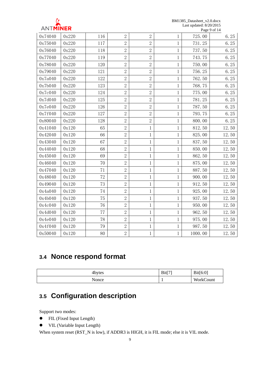

BM1385\_Datasheet\_v2.0.docx Last updated: 8/20/2015 Page 9 of 14

|         |       |     |                |                |              |         | $1 \mu \text{g}$ C $\mu$ 01 1 $\pi$ |
|---------|-------|-----|----------------|----------------|--------------|---------|-------------------------------------|
| 0x74040 | 0x220 | 116 | $\overline{2}$ | $\overline{2}$ | $\mathbf{1}$ | 725.00  | 6.25                                |
| 0x75040 | 0x220 | 117 | $\overline{2}$ | $\overline{2}$ | 1            | 731.25  | 6.25                                |
| 0x76040 | 0x220 | 118 | $\overline{2}$ | $\overline{2}$ | 1            | 737.50  | 6.25                                |
| 0x77040 | 0x220 | 119 | $\overline{2}$ | $\overline{2}$ | $\mathbf{1}$ | 743.75  | 6.25                                |
| 0x78040 | 0x220 | 120 | $\overline{2}$ | $\overline{2}$ | 1            | 750.00  | 6.25                                |
| 0x79040 | 0x220 | 121 | $\overline{2}$ | $\overline{2}$ | $\mathbf 1$  | 756.25  | 6.25                                |
| 0x7a040 | 0x220 | 122 | $\overline{2}$ | $\overline{2}$ | 1            | 762.50  | 6.25                                |
| 0x7b040 | 0x220 | 123 | $\overline{2}$ | $\overline{2}$ | $\mathbf 1$  | 768.75  | 6.25                                |
| 0x7c040 | 0x220 | 124 | $\overline{2}$ | $\overline{2}$ | 1            | 775.00  | 6.25                                |
| 0x7d040 | 0x220 | 125 | $\overline{2}$ | $\sqrt{2}$     | 1            | 781.25  | 6.25                                |
| 0x7e040 | 0x220 | 126 | $\overline{2}$ | $\mathbf{2}$   | 1            | 787.50  | 6.25                                |
| 0x7f040 | 0x220 | 127 | $\overline{2}$ | $\mathbf{2}$   | 1            | 793.75  | 6.25                                |
| 0x80040 | 0x220 | 128 | $\overline{2}$ | $\mathbf{2}$   | 1            | 800.00  | 6.25                                |
| 0x41040 | 0x120 | 65  | $\overline{2}$ | $\mathbf 1$    | 1            | 812.50  | 12.50                               |
| 0x42040 | 0x120 | 66  | $\overline{2}$ | $\mathbf{1}$   | $\mathbf 1$  | 825.00  | 12.50                               |
| 0x43040 | 0x120 | 67  | $\overline{2}$ | $\mathbf{1}$   | $\mathbf{1}$ | 837.50  | 12.50                               |
| 0x44040 | 0x120 | 68  | $\overline{2}$ | $\mathbf 1$    | 1            | 850.00  | 12.50                               |
| 0x45040 | 0x120 | 69  | $\overline{2}$ | $\mathbf 1$    | 1            | 862.50  | 12.50                               |
| 0x46040 | 0x120 | 70  | $\overline{2}$ | $\mathbf 1$    | 1            | 875.00  | 12.50                               |
| 0x47040 | 0x120 | 71  | $\overline{2}$ | $\mathbf{1}$   | 1            | 887.50  | 12.50                               |
| 0x48040 | 0x120 | 72  | $\overline{2}$ | $\mathbf 1$    | 1            | 900.00  | 12.50                               |
| 0x49040 | 0x120 | 73  | $\overline{2}$ | $\mathbf{1}$   | 1            | 912.50  | 12.50                               |
| 0x4a040 | 0x120 | 74  | $\overline{2}$ | $\mathbf 1$    | $\mathbf{1}$ | 925.00  | 12.50                               |
| 0x4b040 | 0x120 | 75  | $\overline{2}$ | $\mathbf{1}$   | $\mathbf 1$  | 937.50  | 12.50                               |
| 0x4c040 | 0x120 | 76  | $\overline{2}$ | $\mathbf{1}$   | 1            | 950.00  | 12.50                               |
| 0x4d040 | 0x120 | 77  | $\overline{2}$ | 1              | 1            | 962.50  | 12.50                               |
| 0x4e040 | 0x120 | 78  | $\overline{2}$ | $\mathbf{1}$   | $\mathbf{1}$ | 975.00  | 12.50                               |
| 0x4f040 | 0x120 | 79  | $\overline{2}$ | 1              | 1            | 987.50  | 12.50                               |
| 0x50040 | 0x120 | 80  | $\overline{2}$ | $\mathbf{1}$   | $\mathbf{1}$ | 1000.00 | 12.50                               |

#### <span id="page-9-0"></span>**3.4 Nonce respond format**

| 4bytes | Bit[7] | Bit[6:0]  |
|--------|--------|-----------|
| Nonce  |        | WorkCount |

### <span id="page-9-1"></span>**3.5 Configuration description**

Support two modes:

- FIL (Fixed Input Length)
- $\bullet$  VIL (Variable Input Length)

When system reset (RST\_N is low), if ADDR3 is HIGH, it is FIL mode; else it is VIL mode.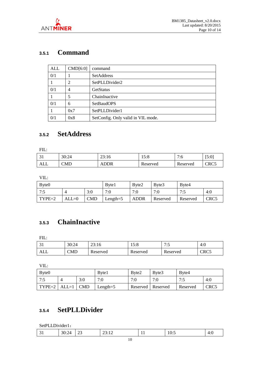

#### <span id="page-10-0"></span>**3.5.1 Command**

| ALL | CMD[6:0] | command                            |
|-----|----------|------------------------------------|
| 0/1 |          | SetAddress                         |
|     |          | SetPLLDivider2                     |
| 0/1 |          | <b>GetStatus</b>                   |
|     |          | ChainInactive                      |
| 0/1 | 6        | <b>SetBaudOPS</b>                  |
|     | 0x7      | SetPLLDivider1                     |
| 0/1 | 0x8      | SetConfig. Only valid in VIL mode. |

#### <span id="page-10-1"></span>**3.5.2 SetAddress**

FIL:

| ----- |       |             |             |                |       |
|-------|-------|-------------|-------------|----------------|-------|
| ◡     | 30:24 | 23:16       | 5.0<br>19.0 | 7.6<br>.v      | [5:0] |
| ALL   | CMD   | <b>ADDR</b> | Reserved    | 'n<br>Reserved | CRC5  |

VIL:

| Byte <sub>0</sub> |         |            | Byte1       | Byte2 | Byte3    | Byte4    |                  |
|-------------------|---------|------------|-------------|-------|----------|----------|------------------|
| 7:5               |         | 3:0        | 7:0         | 7:0   | 7:0      | 7:5      | 4:0              |
| TYPE=2            | $ALL=0$ | <b>CMD</b> | Length= $5$ | ADDR  | Reserved | Reserved | CRC <sub>5</sub> |

#### <span id="page-10-2"></span>**3.5.3 ChainInactive**

FIL:

| ◡▴  | 30:24 | 23:16    | 5.9<br>19.0 | 7.5<br>ن ، | -4:0 |
|-----|-------|----------|-------------|------------|------|
| ALL | CMD   | Reserved | Reserved    | Reserved   | CRC5 |

VIL:

| Byte <sub>0</sub>      |     | Byte1       | Byte2               | Byte3 | Byte4    |      |
|------------------------|-----|-------------|---------------------|-------|----------|------|
| 7:5                    | 3:0 | 7·0         | 7:0                 | 7·0   | 7.5      | 4:0  |
| $TYPE=2$ $ALL=1$ $CMD$ |     | Length= $5$ | Reserved   Reserved |       | Reserved | CRC5 |

### <span id="page-10-3"></span>**3.5.4 SetPLLDivider**

SetPLLDivider1:

| }()·<br>∼.<br>$\overline{\phantom{a}}$<br>10.7<br>⋯<br>ر ب<br>$\sim$ $\sim$<br>-----<br>. .<br>$ -$ |  |  |  |  |  |  |  |  |  |
|-----------------------------------------------------------------------------------------------------|--|--|--|--|--|--|--|--|--|
|-----------------------------------------------------------------------------------------------------|--|--|--|--|--|--|--|--|--|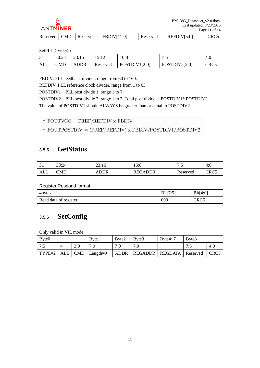

|  | Reserved   CMD   Reserved   FBDIV[11:0] | Reserved | REFDIV[5:0] | CRC <sub>5</sub> |
|--|-----------------------------------------|----------|-------------|------------------|

#### SetPLLDivider2:

| JІ  | 30:24 | 23:16       |          | 10:8          | 7.5<br>. .    | -4:0 |
|-----|-------|-------------|----------|---------------|---------------|------|
| ALL | CMD   | <b>ADDR</b> | Reserved | POSTDIV1[2:0] | POSTDIV2[2:0] | CRC5 |

FBDIV: PLL feedback divider, range from 60 to 160.

REFDIV: PLL reference clock divider, range from 1 to 63.

POSTDIV1: PLL post divide 1, range 1 to 7.

POSTDIV2: PLL post divide 2, range 1 to 7. Total post divide is POSTDIV1\* POSTDIV2. The value of POSTDIV1 should ALWAYS be greater than or equal to POSTDIV2.

```
\circ FOUTVCO = FREF/REFDIV x FBDIV
```
 $\circ$  FOUTPOSTDIV = (FREF/REFDIV) x FBDIV/POSTDIV1/POSTDIV2

#### <span id="page-11-0"></span>**3.5.5 GetStatus**

| $\sim$<br>◡ | 30:24 | 23:16       | 5.0<br>1. J. O | 7.5<br>ື່ | $-4:0$ |
|-------------|-------|-------------|----------------|-----------|--------|
| ALL         | CMD   | <b>ADDR</b> | <b>REGADDR</b> | Reserved  | CRC5   |

Register Respond format:

| 4bytes                | Bit[7:5] | Bit[4:0] |
|-----------------------|----------|----------|
| Read data of register | 000      | CRC5     |

#### <span id="page-11-1"></span>**3.5.6 SetConfig**

Only valid in VIL mode.

| Byte <sub>0</sub> |     | Byte1                                                   | Byte2 | Byte3                               | Byte $4\sim$ 7 | Byte8 |      |
|-------------------|-----|---------------------------------------------------------|-------|-------------------------------------|----------------|-------|------|
| 17:5              | 3:0 | 7:0                                                     | 7:0   | 7:0                                 |                | 7.5   | 4:0  |
|                   |     | $\vert$ TYPE=2 $\vert$ ALL $\vert$ CMD $\vert$ Length=9 |       | ADDR   REGADDR   REGDATA   Reserved |                |       | CRC5 |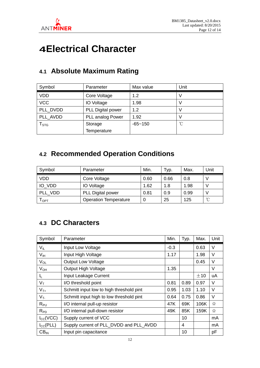

## <span id="page-12-0"></span>**4Electrical Character**

| Symbol                 | Parameter          | Max value   | Unit            |
|------------------------|--------------------|-------------|-----------------|
| <b>VDD</b>             | Core Voltage       | 1.2         |                 |
| <b>VCC</b>             | <b>IO Voltage</b>  | 1.98        |                 |
| PLL DVDD               | PLL Digital power  | 1.2         |                 |
| PLL AVDD               | PLL analog Power   | 1.92        |                 |
| ${\sf T}_{\text{STG}}$ | Storage            | $-65 - 150$ | $\rm ^{\circ}C$ |
|                        | <b>Temperature</b> |             |                 |

### <span id="page-12-1"></span>**4.1 Absolute Maximum Rating**

#### <span id="page-12-2"></span>**4.2 Recommended Operation Conditions**

| Symbol  | Parameter                    | Min. | Typ. | Max. | Unit       |
|---------|------------------------------|------|------|------|------------|
| VDD     | Core Voltage                 | 0.60 | 0.66 | 0.8  |            |
| IO VDD  | <b>IO</b> Voltage            | 1.62 | 1.8  | 1.98 | ν          |
| PLL VDD | <b>PLL Digital power</b>     | 0.81 | 0.9  | 0.99 | ν          |
| l орт   | <b>Operation Temperature</b> |      | 25   | 125  | $^{\circ}$ |

#### <span id="page-12-3"></span>**4.3 DC Characters**

| Symbol          | Parameter                                | Min.   | Typ. | Max.  | Unit   |
|-----------------|------------------------------------------|--------|------|-------|--------|
| $V_{IL}$        | Input Low Voltage                        | $-0.3$ |      | 0.63  | V      |
| V <sub>IH</sub> | Input High Voltage                       | 1.17   |      | 1.98  | $\vee$ |
| $V_{OL}$        | <b>Output Low Voltage</b>                |        |      | 0.45  | V      |
| $V_{OH}$        | Output High Voltage                      | 1.35   |      |       | V      |
| IL.             | Input Leakage Current                    |        |      | $+10$ | uA     |
| $V_T$           | I/O threshold point                      | 0.81   | 0.89 | 0.97  | $\vee$ |
| $V_{T+}$        | Schmitt input low to high threshold pint | 0.95   | 1.03 | 1.10  | V      |
| $V_T$           | Schmitt input high to low threshold pint | 0.64   | 0.75 | 0.86  | $\vee$ |
| $R_{PU}$        | I/O internal pull-up resistor            | 47K    | 69K  | 106K  | Ω      |
| $R_{PD}$        | I/O internal pull-down resistor          | 49K    | 85K  | 159K  | Ω      |
| $I_{CC}(VCC)$   | Supply current of VCC                    |        | 10   |       | mA     |
| $I_{CC}(PLL)$   | Supply current of PLL_DVDD and PLL_AVDD  |        | 4    |       | mA     |
| $CB_{IN}$       | Input pin capacitance                    |        | 10   |       | pF     |